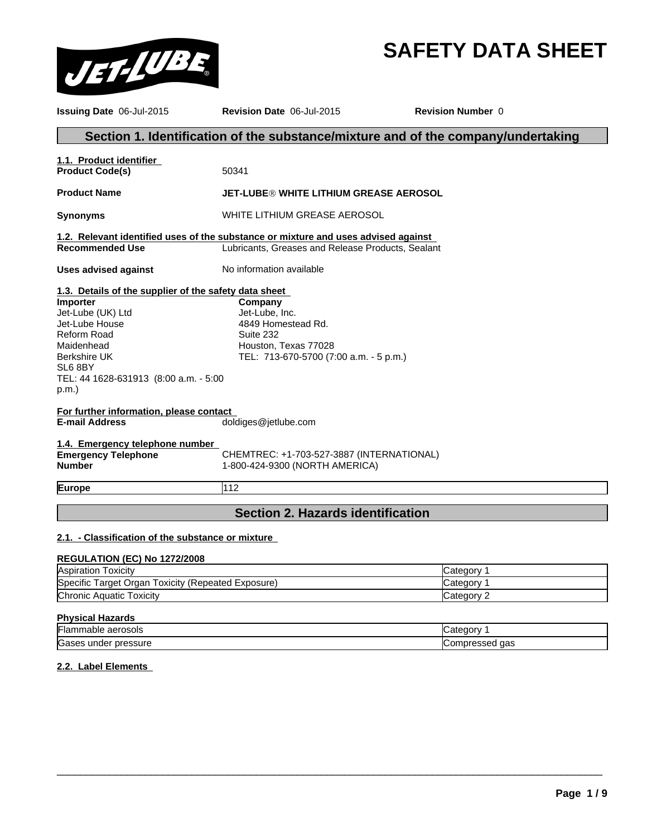# **SAFETY DATA SHEET**



| <b>Issuing Date 06-Jul-2015</b>                                                                                                                                                                                                 | Revision Date 06-Jul-2015                                                                                                               | <b>Revision Number 0</b> |  |
|---------------------------------------------------------------------------------------------------------------------------------------------------------------------------------------------------------------------------------|-----------------------------------------------------------------------------------------------------------------------------------------|--------------------------|--|
|                                                                                                                                                                                                                                 | Section 1. Identification of the substance/mixture and of the company/undertaking                                                       |                          |  |
| 1.1. Product identifier<br><b>Product Code(s)</b>                                                                                                                                                                               | 50341                                                                                                                                   |                          |  |
| <b>Product Name</b>                                                                                                                                                                                                             | JET-LUBE® WHITE LITHIUM GREASE AEROSOL                                                                                                  |                          |  |
| <b>Synonyms</b>                                                                                                                                                                                                                 | WHITE LITHIUM GREASE AEROSOL                                                                                                            |                          |  |
| <b>Recommended Use</b>                                                                                                                                                                                                          | 1.2. Relevant identified uses of the substance or mixture and uses advised against<br>Lubricants, Greases and Release Products, Sealant |                          |  |
| <b>Uses advised against</b>                                                                                                                                                                                                     | No information available                                                                                                                |                          |  |
| 1.3. Details of the supplier of the safety data sheet<br>Importer<br>Jet-Lube (UK) Ltd<br>Jet-Lube House<br><b>Reform Road</b><br>Maidenhead<br><b>Berkshire UK</b><br>SL6 8BY<br>TEL: 44 1628-631913 (8:00 a.m. - 5:00<br>p.m. | Company<br>Jet-Lube, Inc.<br>4849 Homestead Rd.<br>Suite 232<br>Houston, Texas 77028<br>TEL: 713-670-5700 (7:00 a.m. - 5 p.m.)          |                          |  |
| For further information, please contact<br><b>E-mail Address</b>                                                                                                                                                                | doldiges@jetlube.com                                                                                                                    |                          |  |
| 1.4. Emergency telephone number<br><b>Emergency Telephone</b><br><b>Number</b>                                                                                                                                                  | CHEMTREC: +1-703-527-3887 (INTERNATIONAL)<br>1-800-424-9300 (NORTH AMERICA)                                                             |                          |  |
| Europe                                                                                                                                                                                                                          | 112                                                                                                                                     |                          |  |
|                                                                                                                                                                                                                                 | <b>Section 2. Hazards identification</b>                                                                                                |                          |  |
| 2.1. - Classification of the substance or mixture                                                                                                                                                                               |                                                                                                                                         |                          |  |
| REGULATION (EC) No 1272/2008                                                                                                                                                                                                    |                                                                                                                                         |                          |  |
| Aspiration Toxicity                                                                                                                                                                                                             |                                                                                                                                         | Category 1               |  |
| $\tau$ $\sqrt{2}$                                                                                                                                                                                                               |                                                                                                                                         |                          |  |

| . .<br>Exposure)<br>?epeated<br>pecific<br>. oxicitv<br>araet<br>150<br>Organ | $+ \sim \sim \sim \sim$<br>דר<br>eaor |
|-------------------------------------------------------------------------------|---------------------------------------|
| Chronic,<br>oxicity<br>Aquatic                                                | ĸ<br>$+$ $   -$<br>enor<br><br>—uai∽  |
|                                                                               |                                       |

## **Physical Hazards**

| aerosols<br>- - -<br>nabie<br>iar                 | ----                                         |
|---------------------------------------------------|----------------------------------------------|
| ∽<br>under<br>pressure<br>$-$<br>$\sim$<br>roascs | aas<br>$\ddotsc$<br>⊶ ا∪ו ،<br>155556<br>וטע |

 $\overline{\phantom{a}}$  ,  $\overline{\phantom{a}}$  ,  $\overline{\phantom{a}}$  ,  $\overline{\phantom{a}}$  ,  $\overline{\phantom{a}}$  ,  $\overline{\phantom{a}}$  ,  $\overline{\phantom{a}}$  ,  $\overline{\phantom{a}}$  ,  $\overline{\phantom{a}}$  ,  $\overline{\phantom{a}}$  ,  $\overline{\phantom{a}}$  ,  $\overline{\phantom{a}}$  ,  $\overline{\phantom{a}}$  ,  $\overline{\phantom{a}}$  ,  $\overline{\phantom{a}}$  ,  $\overline{\phantom{a}}$ 

## **2.2. Label Elements**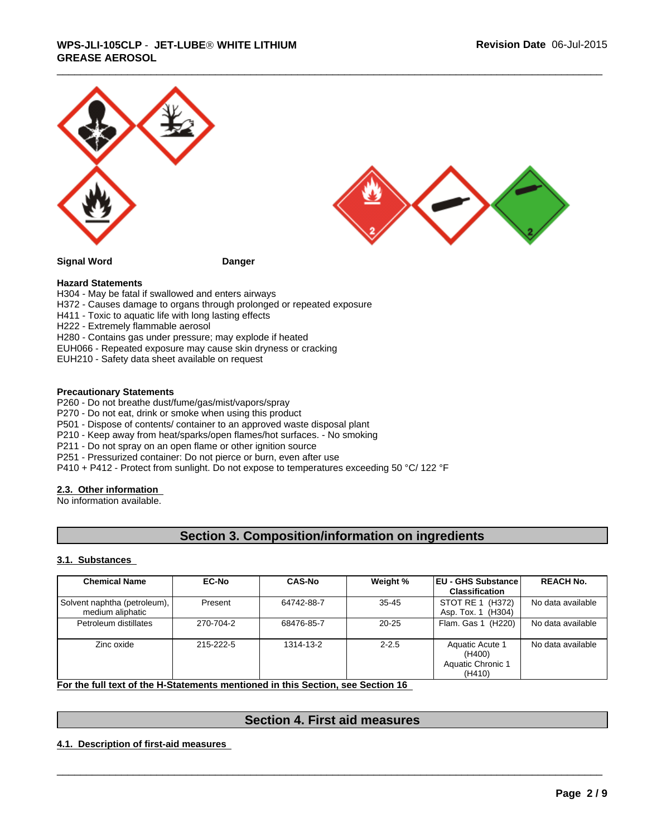



**Signal Word Danger**

#### **Hazard Statements**

- H304 May be fatal if swallowed and enters airways
- H372 Causes damage to organs through prolonged or repeated exposure
- H411 Toxic to aquatic life with long lasting effects
- H222 Extremely flammable aerosol
- H280 Contains gas under pressure; may explode if heated
- EUH066 Repeated exposure may cause skin dryness or cracking
- EUH210 Safety data sheet available on request

#### **Precautionary Statements**

- P260 Do not breathe dust/fume/gas/mist/vapors/spray
- P270 Do not eat, drink or smoke when using this product
- P501 Dispose of contents/ container to an approved waste disposal plant
- P210 Keep away from heat/sparks/open flames/hot surfaces. No smoking
- P211 Do not spray on an open flame or other ignition source
- P251 Pressurized container: Do not pierce or burn, even after use
- P410 + P412 Protect from sunlight. Do not expose to temperatures exceeding 50 °C/ 122 °F

## **2.3. Other information**

No information available.

## **Section 3. Composition/information on ingredients**

#### **3.1. Substances**

| <b>Chemical Name</b>                             | <b>EC-No</b> | <b>CAS-No</b> | Weight %  | <b>IEU - GHS Substance I</b><br><b>Classification</b>    | <b>REACH No.</b>  |
|--------------------------------------------------|--------------|---------------|-----------|----------------------------------------------------------|-------------------|
| Solvent naphtha (petroleum),<br>medium aliphatic | Present      | 64742-88-7    | $35 - 45$ | STOT RE 1 (H372)<br>Asp. Tox. 1 (H304)                   | No data available |
| Petroleum distillates                            | 270-704-2    | 68476-85-7    | $20 - 25$ | Flam, Gas 1 (H220)                                       | No data available |
| Zinc oxide                                       | 215-222-5    | 1314-13-2     | $2 - 2.5$ | Aquatic Acute 1<br>(H400)<br>Aquatic Chronic 1<br>(H410) | No data available |

**For the full text of the H-Statements mentioned in this Section, see Section 16** 

# \_\_\_\_\_\_\_\_\_\_\_\_\_\_\_\_\_\_\_\_\_\_\_\_\_\_\_\_\_\_\_\_\_\_\_\_\_\_\_\_\_\_\_\_\_\_\_\_\_\_\_\_\_\_\_\_\_\_\_\_\_\_\_\_\_\_\_\_\_\_\_\_\_\_\_\_\_\_\_\_\_\_\_\_\_\_\_\_\_\_\_\_\_ **Section 4. First aid measures**

**4.1. Description of first-aid measures**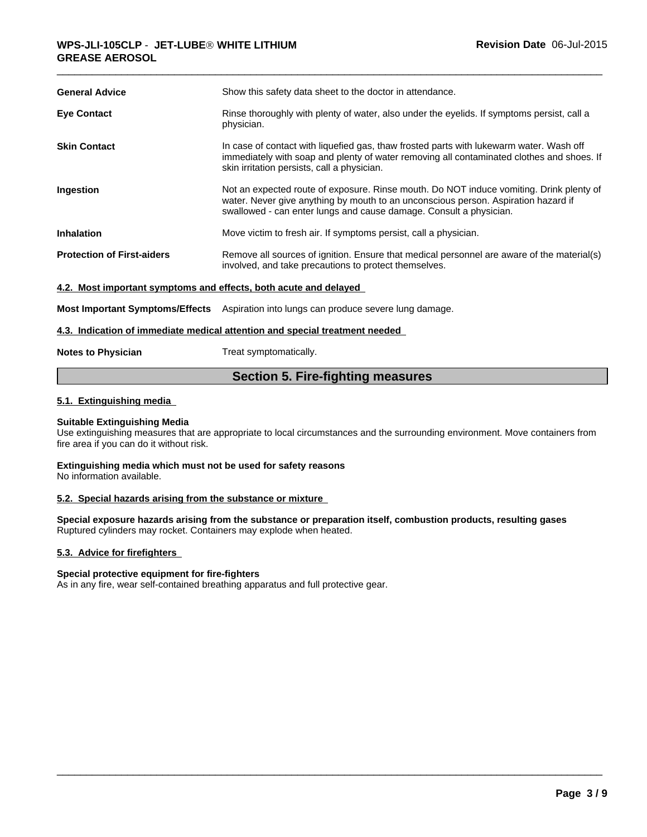| <b>General Advice</b>                                            | Show this safety data sheet to the doctor in attendance.                                                                                                                                                                                            |
|------------------------------------------------------------------|-----------------------------------------------------------------------------------------------------------------------------------------------------------------------------------------------------------------------------------------------------|
| <b>Eye Contact</b>                                               | Rinse thoroughly with plenty of water, also under the eyelids. If symptoms persist, call a<br>physician.                                                                                                                                            |
| <b>Skin Contact</b>                                              | In case of contact with liquefied gas, thaw frosted parts with lukewarm water. Wash off<br>immediately with soap and plenty of water removing all contaminated clothes and shoes. If<br>skin irritation persists, call a physician.                 |
| Ingestion                                                        | Not an expected route of exposure. Rinse mouth. Do NOT induce vomiting. Drink plenty of<br>water. Never give anything by mouth to an unconscious person. Aspiration hazard if<br>swallowed - can enter lungs and cause damage. Consult a physician. |
| <b>Inhalation</b>                                                | Move victim to fresh air. If symptoms persist, call a physician.                                                                                                                                                                                    |
| <b>Protection of First-aiders</b>                                | Remove all sources of ignition. Ensure that medical personnel are aware of the material(s)<br>involved, and take precautions to protect themselves.                                                                                                 |
| 4.2. Most important symptoms and effects, both acute and delayed |                                                                                                                                                                                                                                                     |
|                                                                  | <b>Most Important Symptoms/Effects</b> Aspiration into lungs can produce severe lung damage.                                                                                                                                                        |
|                                                                  | 4.3. Indication of immediate medical attention and special treatment needed                                                                                                                                                                         |
|                                                                  |                                                                                                                                                                                                                                                     |

## **Notes to Physician** Treat symptomatically.

## **Section 5. Fire-fighting measures**

## **5.1. Extinguishing media**

## **Suitable Extinguishing Media**

Use extinguishing measures that are appropriate to local circumstances and the surrounding environment. Move containers from fire area if you can do it without risk.

#### **Extinguishing media which must not be used for safety reasons** No information available.

## **5.2. Special hazards arising from the substance or mixture**

**Special exposure hazards arising from the substance or preparation itself, combustion products, resulting gases** Ruptured cylinders may rocket. Containers may explode when heated.

 $\overline{\phantom{a}}$  ,  $\overline{\phantom{a}}$  ,  $\overline{\phantom{a}}$  ,  $\overline{\phantom{a}}$  ,  $\overline{\phantom{a}}$  ,  $\overline{\phantom{a}}$  ,  $\overline{\phantom{a}}$  ,  $\overline{\phantom{a}}$  ,  $\overline{\phantom{a}}$  ,  $\overline{\phantom{a}}$  ,  $\overline{\phantom{a}}$  ,  $\overline{\phantom{a}}$  ,  $\overline{\phantom{a}}$  ,  $\overline{\phantom{a}}$  ,  $\overline{\phantom{a}}$  ,  $\overline{\phantom{a}}$ 

## **5.3. Advice for firefighters**

## **Special protective equipment for fire-fighters**

As in any fire, wear self-contained breathing apparatus and full protective gear.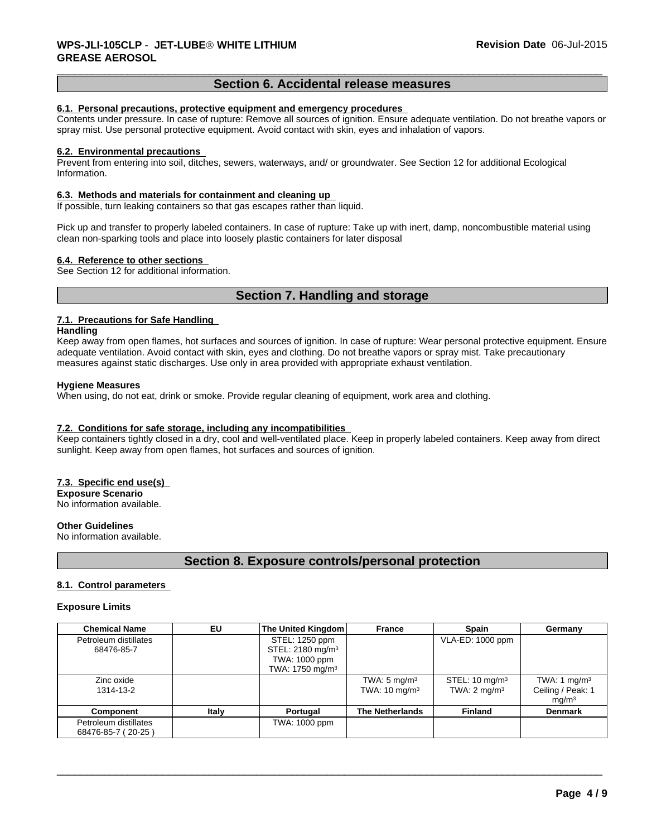## **Section 6. Accidental release measures**

#### **6.1. Personal precautions, protective equipment and emergency procedures**

Contents under pressure. In case of rupture: Remove all sources of ignition. Ensure adequate ventilation. Do not breathe vapors or spray mist. Use personal protective equipment. Avoid contact with skin, eyes and inhalation of vapors.

#### **6.2. Environmental precautions**

Prevent from entering into soil, ditches, sewers, waterways, and/ or groundwater. See Section 12 for additional Ecological Information.

#### **6.3. Methods and materials for containment and cleaning up**

If possible, turn leaking containers so that gas escapes rather than liquid.

Pick up and transfer to properly labeled containers. In case of rupture: Take up with inert, damp, noncombustible material using clean non-sparking tools and place into loosely plastic containers for later disposal

#### **6.4. Reference to other sections**

See Section 12 for additional information.

## **Section 7. Handling and storage**

## **7.1. Precautions for Safe Handling**

#### **Handling**

Keep away from open flames, hot surfaces and sources of ignition. In case of rupture: Wear personal protective equipment. Ensure adequate ventilation. Avoid contact with skin, eyes and clothing. Do not breathe vapors or spray mist. Take precautionary measures against static discharges. Use only in area provided with appropriate exhaust ventilation.

#### **Hygiene Measures**

When using, do not eat, drink or smoke. Provide regular cleaning of equipment, work area and clothing.

## **7.2. Conditions for safe storage, including any incompatibilities**

Keep containers tightly closed in a dry, cool and well-ventilated place. Keep in properly labeled containers. Keep away from direct sunlight. Keep away from open flames, hot surfaces and sources of ignition.

## **7.3. Specific end use(s)**

**Exposure Scenario** No information available.

#### **Other Guidelines**

No information available.

## **Section 8. Exposure controls/personal protection**

## **8.1. Control parameters**

#### **Exposure Limits**

| <b>Chemical Name</b>                        | EU    | The United Kingdom                                                                             | <b>France</b>                                       | <b>Spain</b>                                         | Germany                                                  |
|---------------------------------------------|-------|------------------------------------------------------------------------------------------------|-----------------------------------------------------|------------------------------------------------------|----------------------------------------------------------|
| Petroleum distillates<br>68476-85-7         |       | STEL: 1250 ppm<br>STEL: 2180 mg/m <sup>3</sup><br>TWA: 1000 ppm<br>TWA: 1750 mg/m <sup>3</sup> |                                                     | VLA-ED: 1000 ppm                                     |                                                          |
| Zinc oxide<br>1314-13-2                     |       |                                                                                                | TWA: $5 \text{ mg/m}^3$<br>TWA: $10 \text{ mg/m}^3$ | STEL: $10 \text{ mg/m}^3$<br>TWA: $2 \text{ mg/m}^3$ | TWA: 1 $mg/m3$<br>Ceiling / Peak: 1<br>mq/m <sup>3</sup> |
| <b>Component</b>                            | Italy | Portugal                                                                                       | <b>The Netherlands</b>                              | <b>Finland</b>                                       | <b>Denmark</b>                                           |
| Petroleum distillates<br>68476-85-7 (20-25) |       | TWA: 1000 ppm                                                                                  |                                                     |                                                      |                                                          |

 $\overline{\phantom{a}}$  ,  $\overline{\phantom{a}}$  ,  $\overline{\phantom{a}}$  ,  $\overline{\phantom{a}}$  ,  $\overline{\phantom{a}}$  ,  $\overline{\phantom{a}}$  ,  $\overline{\phantom{a}}$  ,  $\overline{\phantom{a}}$  ,  $\overline{\phantom{a}}$  ,  $\overline{\phantom{a}}$  ,  $\overline{\phantom{a}}$  ,  $\overline{\phantom{a}}$  ,  $\overline{\phantom{a}}$  ,  $\overline{\phantom{a}}$  ,  $\overline{\phantom{a}}$  ,  $\overline{\phantom{a}}$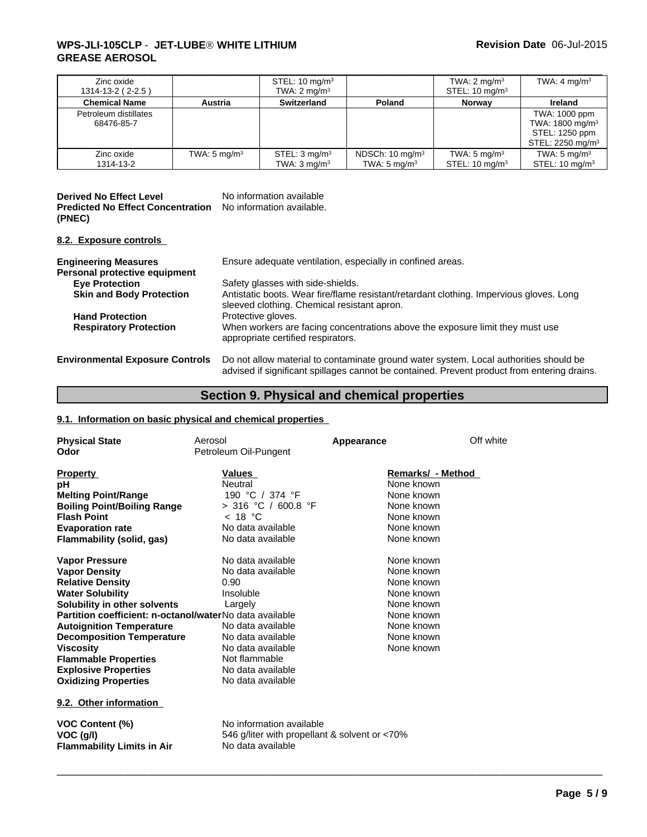## \_\_\_\_\_\_\_\_\_\_\_\_\_\_\_\_\_\_\_\_\_\_\_\_\_\_\_\_\_\_\_\_\_\_\_\_\_\_\_\_\_\_\_\_\_\_\_\_\_\_\_\_\_\_\_\_\_\_\_\_\_\_\_\_\_\_\_\_\_\_\_\_\_\_\_\_\_\_\_\_\_\_\_\_\_\_\_\_\_\_\_\_\_ **WPS-JLI-105CLP** - **JET-LUBEÒ WHITE LITHIUM GREASE AEROSOL**

| Zinc oxide<br>$1314 - 13 - 2 (2 - 2.5)$ |                         | STEL: $10 \text{ mg/m}^3$<br>TWA: $2 \text{ mg/m}^3$ |                                                       | TWA: $2 \text{ mg/m}^3$<br>STEL: $10 \text{ mg/m}^3$ | TWA: $4 \text{ mg/m}^3$                                                                       |
|-----------------------------------------|-------------------------|------------------------------------------------------|-------------------------------------------------------|------------------------------------------------------|-----------------------------------------------------------------------------------------------|
| <b>Chemical Name</b>                    | Austria                 | <b>Switzerland</b>                                   | Poland                                                | <b>Norway</b>                                        | Ireland                                                                                       |
| Petroleum distillates<br>68476-85-7     |                         |                                                      |                                                       |                                                      | TWA: 1000 ppm<br>TWA: $1800 \text{ mg/m}^3$<br>STEL: 1250 ppm<br>STEL: 2250 mg/m <sup>3</sup> |
| Zinc oxide<br>1314-13-2                 | TWA: $5 \text{ mg/m}^3$ | STEL: $3 \text{ mg/m}^3$<br>TWA: $3 \text{ mg/m}^3$  | NDSCh: $10 \text{ mg/m}^3$<br>TWA: $5 \text{ mg/m}^3$ | TWA: $5 \text{ mg/m}^3$<br>STEL: $10 \text{ mg/m}^3$ | TWA: $5 \text{ mg/m}^3$<br>STEL: $10 \text{ mg/m}^3$                                          |

| <b>Derived No Effect Level</b>                                     | No information available |
|--------------------------------------------------------------------|--------------------------|
| <b>Predicted No Effect Concentration</b> No information available. |                          |
| (PNEC)                                                             |                          |

## **8.2. Exposure controls**

| <b>Engineering Measures</b><br>Personal protective equipment | Ensure adequate ventilation, especially in confined areas.                                                                                                                           |
|--------------------------------------------------------------|--------------------------------------------------------------------------------------------------------------------------------------------------------------------------------------|
| <b>Eye Protection</b>                                        | Safety glasses with side-shields.                                                                                                                                                    |
| <b>Skin and Body Protection</b>                              | Antistatic boots. Wear fire/flame resistant/retardant clothing. Impervious gloves. Long<br>sleeved clothing. Chemical resistant apron.                                               |
| <b>Hand Protection</b><br><b>Respiratory Protection</b>      | Protective gloves.<br>When workers are facing concentrations above the exposure limit they must use<br>appropriate certified respirators.                                            |
| <b>Environmental Exposure Controls</b>                       | Do not allow material to contaminate ground water system. Local authorities should be<br>advised if significant spillages cannot be contained. Prevent product from entering drains. |

# **Section 9. Physical and chemical properties**

 $\overline{\phantom{a}}$  ,  $\overline{\phantom{a}}$  ,  $\overline{\phantom{a}}$  ,  $\overline{\phantom{a}}$  ,  $\overline{\phantom{a}}$  ,  $\overline{\phantom{a}}$  ,  $\overline{\phantom{a}}$  ,  $\overline{\phantom{a}}$  ,  $\overline{\phantom{a}}$  ,  $\overline{\phantom{a}}$  ,  $\overline{\phantom{a}}$  ,  $\overline{\phantom{a}}$  ,  $\overline{\phantom{a}}$  ,  $\overline{\phantom{a}}$  ,  $\overline{\phantom{a}}$  ,  $\overline{\phantom{a}}$ 

## **9.1. Information on basic physical and chemical properties**

| <b>Physical State</b><br>Odor                                                                                                                                                                                                                                                                                                                                                          | Aerosol<br>Petroleum Oil-Pungent                                                                                                                                                                 | Appearance                                                                                                                 | Off white |
|----------------------------------------------------------------------------------------------------------------------------------------------------------------------------------------------------------------------------------------------------------------------------------------------------------------------------------------------------------------------------------------|--------------------------------------------------------------------------------------------------------------------------------------------------------------------------------------------------|----------------------------------------------------------------------------------------------------------------------------|-----------|
| <b>Property</b><br>рH<br><b>Melting Point/Range</b><br><b>Boiling Point/Boiling Range</b><br><b>Flash Point</b><br><b>Evaporation rate</b><br><b>Flammability (solid, gas)</b>                                                                                                                                                                                                         | <b>Values</b><br>Neutral<br>190 °C / 374 °F<br>> 316 °C / 600.8 °F<br>< 18 °C<br>No data available<br>No data available                                                                          | Remarks/ - Method<br>None known<br>None known<br>None known<br>None known<br>None known<br>None known                      |           |
| <b>Vapor Pressure</b><br><b>Vapor Density</b><br><b>Relative Density</b><br><b>Water Solubility</b><br>Solubility in other solvents<br>Partition coefficient: n-octanol/waterNo data available<br><b>Autoignition Temperature</b><br><b>Decomposition Temperature</b><br><b>Viscosity</b><br><b>Flammable Properties</b><br><b>Explosive Properties</b><br><b>Oxidizing Properties</b> | No data available<br>No data available<br>0.90<br>Insoluble<br>Largely<br>No data available<br>No data available<br>No data available<br>Not flammable<br>No data available<br>No data available | None known<br>None known<br>None known<br>None known<br>None known<br>None known<br>None known<br>None known<br>None known |           |
| 9.2. Other information<br><b>VOC Content (%)</b><br>VOC (g/l)<br><b>Flammability Limits in Air</b>                                                                                                                                                                                                                                                                                     | No information available<br>546 g/liter with propellant & solvent or <70%<br>No data available                                                                                                   |                                                                                                                            |           |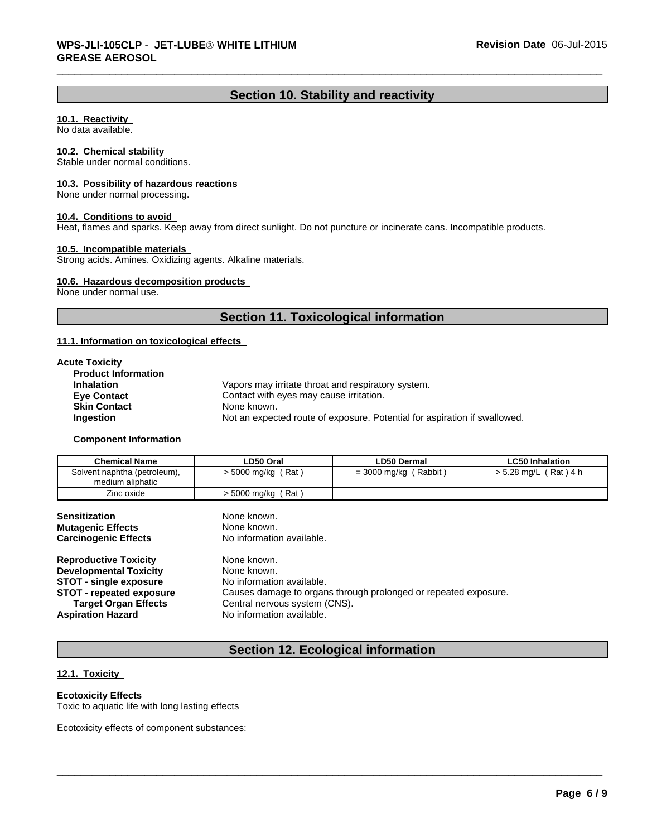## **Section 10. Stability and reactivity**

## **10.1. Reactivity**

No data available.

## **10.2. Chemical stability**

Stable under normal conditions.

#### **10.3. Possibility of hazardous reactions**

None under normal processing.

#### **10.4. Conditions to avoid**

Heat, flames and sparks. Keep away from direct sunlight. Do not puncture or incinerate cans. Incompatible products.

## **10.5. Incompatible materials**

Strong acids. Amines. Oxidizing agents. Alkaline materials.

#### **10.6. Hazardous decomposition products**

None under normal use.

## **Section 11. Toxicological information**

#### **11.1. Information on toxicological effects**

| <b>Acute Toxicity</b>      |                                                                           |
|----------------------------|---------------------------------------------------------------------------|
| <b>Product Information</b> |                                                                           |
| <b>Inhalation</b>          | Vapors may irritate throat and respiratory system.                        |
| <b>Eye Contact</b>         | Contact with eyes may cause irritation.                                   |
| <b>Skin Contact</b>        | None known.                                                               |
| <b>Ingestion</b>           | Not an expected route of exposure. Potential for aspiration if swallowed. |

#### **Component Information**

| <b>Chemical Name</b>                             | LD50 Oral                          | <b>LD50 Dermal</b>                  | <b>LC50 Inhalation</b>  |
|--------------------------------------------------|------------------------------------|-------------------------------------|-------------------------|
| Solvent naphtha (petroleum),<br>medium aliphatic | (Rat)<br>$>$ 5000 mg/kg $\sqrt{ }$ | (Rabbit)<br>= 3000 mg/kg $\sqrt{ }$ | $> 5.28$ mg/L (Rat) 4 h |
| Zinc oxide                                       | (Rat)<br>> 5000 mg/kg              |                                     |                         |

| <b>Sensitization</b><br><b>Mutagenic Effects</b><br><b>Carcinogenic Effects</b> | None known.<br>None known.<br>No information available.         |
|---------------------------------------------------------------------------------|-----------------------------------------------------------------|
| <b>Reproductive Toxicity</b>                                                    | None known.                                                     |
| <b>Developmental Toxicity</b>                                                   | None known.                                                     |
| <b>STOT - single exposure</b>                                                   | No information available.                                       |
| <b>STOT</b> - repeated exposure                                                 | Causes damage to organs through prolonged or repeated exposure. |
| <b>Target Organ Effects</b>                                                     | Central nervous system (CNS).                                   |
| <b>Aspiration Hazard</b>                                                        | No information available.                                       |

## **Section 12. Ecological information**

 $\overline{\phantom{a}}$  ,  $\overline{\phantom{a}}$  ,  $\overline{\phantom{a}}$  ,  $\overline{\phantom{a}}$  ,  $\overline{\phantom{a}}$  ,  $\overline{\phantom{a}}$  ,  $\overline{\phantom{a}}$  ,  $\overline{\phantom{a}}$  ,  $\overline{\phantom{a}}$  ,  $\overline{\phantom{a}}$  ,  $\overline{\phantom{a}}$  ,  $\overline{\phantom{a}}$  ,  $\overline{\phantom{a}}$  ,  $\overline{\phantom{a}}$  ,  $\overline{\phantom{a}}$  ,  $\overline{\phantom{a}}$ 

## **12.1. Toxicity**

## **Ecotoxicity Effects**

Toxic to aquatic life with long lasting effects

Ecotoxicity effects of component substances: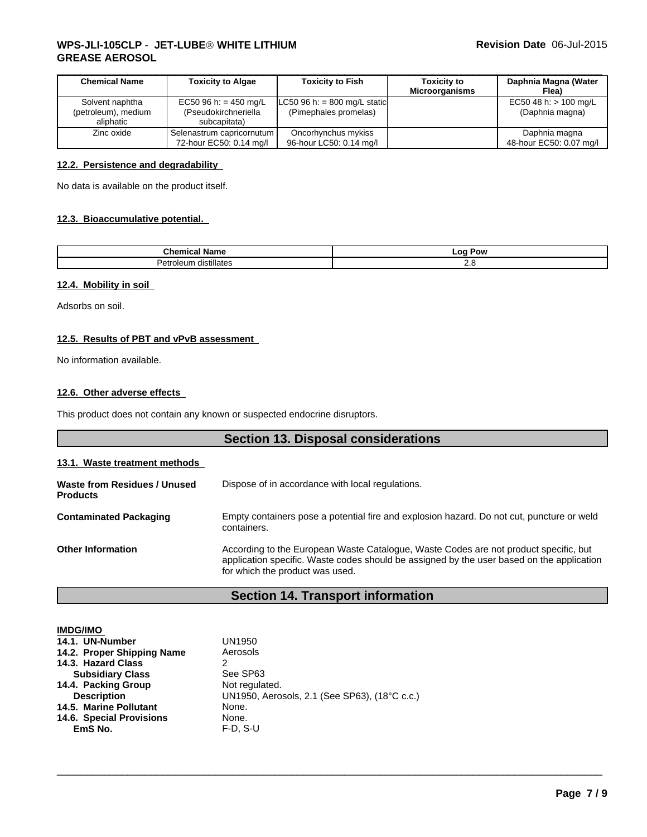## \_\_\_\_\_\_\_\_\_\_\_\_\_\_\_\_\_\_\_\_\_\_\_\_\_\_\_\_\_\_\_\_\_\_\_\_\_\_\_\_\_\_\_\_\_\_\_\_\_\_\_\_\_\_\_\_\_\_\_\_\_\_\_\_\_\_\_\_\_\_\_\_\_\_\_\_\_\_\_\_\_\_\_\_\_\_\_\_\_\_\_\_\_ **WPS-JLI-105CLP** - **JET-LUBEÒ WHITE LITHIUM GREASE AEROSOL**

| <b>Chemical Name</b> | <b>Toxicity to Algae</b>  | <b>Toxicity to Fish</b>      | <b>Toxicity to</b>    | Daphnia Magna (Water    |
|----------------------|---------------------------|------------------------------|-----------------------|-------------------------|
|                      |                           |                              | <b>Microorganisms</b> | Flea)                   |
| Solvent naphtha      | EC50 96 h: = 450 mg/L     | LC50 96 h: = 800 mg/L static |                       | EC50 48 h: $> 100$ mg/L |
| (petroleum), medium  | (Pseudokirchneriella      | (Pimephales promelas)        |                       | (Daphnia magna)         |
| aliphatic            | subcapitata)              |                              |                       |                         |
| Zinc oxide           | Selenastrum capricornutum | Oncorhynchus mykiss          |                       | Daphnia magna           |
|                      | 72-hour EC50: 0.14 mg/l   | 96-hour LC50: 0.14 mg/l      |                       | 48-hour EC50: 0.07 mg/l |

## **12.2. Persistence and degradability**

No data is available on the product itself.

## **12.3. Bioaccumulative potential.**

| .<br>vame<br>.                           | $-0c$<br>Pow<br>-- - |
|------------------------------------------|----------------------|
| llates<br>dıstıl<br>етг<br>וו ויִ<br>י נ | . <u>. .</u>         |

## **12.4. Mobility in soil**

Adsorbs on soil.

## **12.5. Results of PBT and vPvB assessment**

No information available.

## **12.6. Other adverse effects**

This product does not contain any known or suspected endocrine disruptors.

|                                                 | <b>Section 13. Disposal considerations</b>                                                                                                                                                                           |
|-------------------------------------------------|----------------------------------------------------------------------------------------------------------------------------------------------------------------------------------------------------------------------|
| 13.1. Waste treatment methods                   |                                                                                                                                                                                                                      |
| Waste from Residues / Unused<br><b>Products</b> | Dispose of in accordance with local regulations.                                                                                                                                                                     |
| <b>Contaminated Packaging</b>                   | Empty containers pose a potential fire and explosion hazard. Do not cut, puncture or weld<br>containers.                                                                                                             |
| <b>Other Information</b>                        | According to the European Waste Catalogue, Waste Codes are not product specific, but<br>application specific. Waste codes should be assigned by the user based on the application<br>for which the product was used. |

## **Section 14. Transport information**

 $\overline{\phantom{a}}$  ,  $\overline{\phantom{a}}$  ,  $\overline{\phantom{a}}$  ,  $\overline{\phantom{a}}$  ,  $\overline{\phantom{a}}$  ,  $\overline{\phantom{a}}$  ,  $\overline{\phantom{a}}$  ,  $\overline{\phantom{a}}$  ,  $\overline{\phantom{a}}$  ,  $\overline{\phantom{a}}$  ,  $\overline{\phantom{a}}$  ,  $\overline{\phantom{a}}$  ,  $\overline{\phantom{a}}$  ,  $\overline{\phantom{a}}$  ,  $\overline{\phantom{a}}$  ,  $\overline{\phantom{a}}$ 

| <b>IMDG/IMO</b>            |                                               |
|----------------------------|-----------------------------------------------|
| 14.1. UN-Number            | UN1950                                        |
| 14.2. Proper Shipping Name | Aerosols                                      |
| 14.3. Hazard Class         | 2                                             |
| <b>Subsidiary Class</b>    | See SP63                                      |
| 14.4. Packing Group        | Not regulated.                                |
| <b>Description</b>         | UN1950, Aerosols, 2.1 (See SP63), (18°C c.c.) |
| 14.5. Marine Pollutant     | None.                                         |
| 14.6. Special Provisions   | None.                                         |
| EmS No.                    | $F-D. S-U$                                    |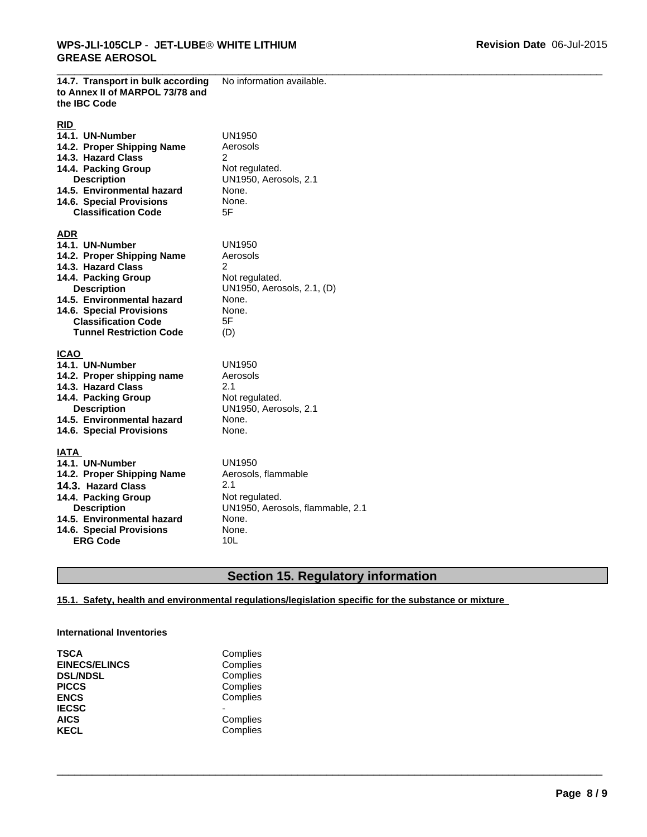**14.7. Transport in bulk according**

No information available.

| to Annex II of MARPOL 73/78 and<br>the IBC Code                                                                                                                                                                                                          |                                                                                                                     |
|----------------------------------------------------------------------------------------------------------------------------------------------------------------------------------------------------------------------------------------------------------|---------------------------------------------------------------------------------------------------------------------|
| <b>RID</b><br>14.1. UN-Number<br>14.2. Proper Shipping Name<br>14.3. Hazard Class<br>14.4. Packing Group<br><b>Description</b><br>14.5. Environmental hazard<br>14.6. Special Provisions<br><b>Classification Code</b>                                   | UN1950<br>Aerosols<br>2<br>Not regulated.<br>UN1950, Aerosols, 2.1<br>None.<br>None.<br>5F                          |
| <b>ADR</b><br>14.1. UN-Number<br>14.2. Proper Shipping Name<br>14.3. Hazard Class<br>14.4. Packing Group<br><b>Description</b><br>14.5. Environmental hazard<br>14.6. Special Provisions<br><b>Classification Code</b><br><b>Tunnel Restriction Code</b> | UN1950<br>Aerosols<br>2<br>Not regulated.<br>UN1950, Aerosols, 2.1, (D)<br>None.<br>None.<br>5F<br>(D)              |
| <b>ICAO</b><br>14.1. UN-Number<br>14.2. Proper shipping name<br>14.3. Hazard Class<br>14.4. Packing Group<br><b>Description</b><br>14.5. Environmental hazard<br>14.6. Special Provisions                                                                | UN1950<br>Aerosols<br>2.1<br>Not regulated.<br>UN1950, Aerosols, 2.1<br>None.<br>None.                              |
| IATA<br>14.1. UN-Number<br>14.2. Proper Shipping Name<br>14.3. Hazard Class<br>14.4. Packing Group<br><b>Description</b><br>14.5. Environmental hazard<br>14.6. Special Provisions<br><b>ERG Code</b>                                                    | UN1950<br>Aerosols, flammable<br>2.1<br>Not regulated.<br>UN1950, Aerosols, flammable, 2.1<br>None.<br>None.<br>10L |

## **Section 15. Regulatory information**

 $\overline{\phantom{a}}$  ,  $\overline{\phantom{a}}$  ,  $\overline{\phantom{a}}$  ,  $\overline{\phantom{a}}$  ,  $\overline{\phantom{a}}$  ,  $\overline{\phantom{a}}$  ,  $\overline{\phantom{a}}$  ,  $\overline{\phantom{a}}$  ,  $\overline{\phantom{a}}$  ,  $\overline{\phantom{a}}$  ,  $\overline{\phantom{a}}$  ,  $\overline{\phantom{a}}$  ,  $\overline{\phantom{a}}$  ,  $\overline{\phantom{a}}$  ,  $\overline{\phantom{a}}$  ,  $\overline{\phantom{a}}$ 

## **15.1. Safety, health and environmental regulations/legislation specific for the substance or mixture**

#### **International Inventories**

| <b>TSCA</b>                 | Complies |
|-----------------------------|----------|
| <b>EINECS/ELINCS</b>        | Complies |
| <b>DSL/NDSL</b>             | Complies |
| <b>PICCS</b>                | Complies |
| <b>ENCS</b>                 | Complies |
| <b>IECSC</b><br><b>AICS</b> | Complies |
| <b>KECL</b>                 | Complies |